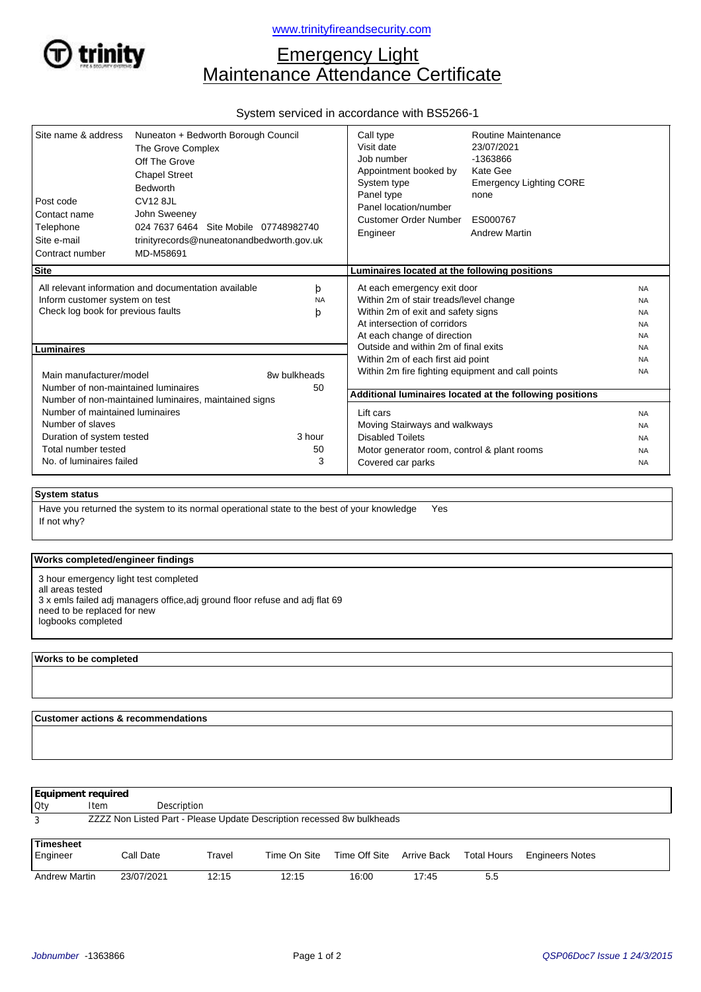

# Emergency Light Maintenance Attendance Certificate

# System serviced in accordance with BS5266-1

| Site name & address<br>Post code<br>Contact name<br>Telephone<br>Site e-mail<br>Contract number                                                     | Nuneaton + Bedworth Borough Council<br>The Grove Complex<br>Off The Grove<br><b>Chapel Street</b><br><b>Bedworth</b><br><b>CV12 8JL</b><br>John Sweeney<br>024 7637 6464 Site Mobile 07748982740<br>trinityrecords@nuneatonandbedworth.gov.uk<br>MD-M58691 |  | Call type<br>Visit date<br>Job number<br>Appointment booked by<br>System type<br>Panel type<br>Panel location/number<br>Customer Order Number<br>Engineer                  | Routine Maintenance<br>23/07/2021<br>-1363866<br>Kate Gee<br><b>Emergency Lighting CORE</b><br>none<br>ES000767<br><b>Andrew Martin</b> |                                                               |  |  |
|-----------------------------------------------------------------------------------------------------------------------------------------------------|------------------------------------------------------------------------------------------------------------------------------------------------------------------------------------------------------------------------------------------------------------|--|----------------------------------------------------------------------------------------------------------------------------------------------------------------------------|-----------------------------------------------------------------------------------------------------------------------------------------|---------------------------------------------------------------|--|--|
| <b>Site</b>                                                                                                                                         |                                                                                                                                                                                                                                                            |  | Luminaires located at the following positions                                                                                                                              |                                                                                                                                         |                                                               |  |  |
| All relevant information and documentation available<br>þ<br>Inform customer system on test<br><b>NA</b><br>Check log book for previous faults<br>þ |                                                                                                                                                                                                                                                            |  | At each emergency exit door<br>Within 2m of stair treads/level change<br>Within 2m of exit and safety signs<br>At intersection of corridors<br>At each change of direction | <b>NA</b><br><b>NA</b><br><b>NA</b><br><b>NA</b><br><b>NA</b>                                                                           |                                                               |  |  |
| <b>Luminaires</b>                                                                                                                                   |                                                                                                                                                                                                                                                            |  | Outside and within 2m of final exits<br>Within 2m of each first aid point                                                                                                  |                                                                                                                                         | <b>NA</b><br><b>NA</b>                                        |  |  |
| Main manufacturer/model<br>Number of non-maintained luminaires                                                                                      | 8w bulkheads<br>50                                                                                                                                                                                                                                         |  | Within 2m fire fighting equipment and call points                                                                                                                          |                                                                                                                                         | <b>NA</b>                                                     |  |  |
| Number of non-maintained luminaires, maintained signs                                                                                               |                                                                                                                                                                                                                                                            |  | Additional luminaires located at the following positions                                                                                                                   |                                                                                                                                         |                                                               |  |  |
| Number of maintained luminaires<br>Number of slaves<br>Duration of system tested<br>Total number tested<br>No. of luminaires failed                 | 3 hour<br>50<br>3                                                                                                                                                                                                                                          |  | Lift cars<br>Moving Stairways and walkways<br><b>Disabled Toilets</b><br>Motor generator room, control & plant rooms<br>Covered car parks                                  |                                                                                                                                         | <b>NA</b><br><b>NA</b><br><b>NA</b><br><b>NA</b><br><b>NA</b> |  |  |

#### **System status**

If not why? Have you returned the system to its normal operational state to the best of your knowledge Yes

## **Works completed/engineer findings**

3 hour emergency light test completed all areas tested 3 x emls failed adj managers office,adj ground floor refuse and adj flat 69 need to be replaced for new logbooks completed

## **Works to be completed**

 $\overline{a}$ 

 **Customer actions & recommendations**

| Equipment required                                                          |             |             |        |              |                           |       |             |                        |
|-----------------------------------------------------------------------------|-------------|-------------|--------|--------------|---------------------------|-------|-------------|------------------------|
| Oty                                                                         | <b>Item</b> | Description |        |              |                           |       |             |                        |
| ZZZZ Non Listed Part - Please Update Description recessed 8w bulkheads<br>3 |             |             |        |              |                           |       |             |                        |
|                                                                             |             |             |        |              |                           |       |             |                        |
| Timesheet<br>Engineer                                                       | Call Date   |             | Travel | Time On Site | Time Off Site Arrive Back |       | Total Hours | <b>Engineers Notes</b> |
| <b>Andrew Martin</b>                                                        | 23/07/2021  |             | 12:15  | 12:15        | 16:00                     | 17:45 | 5.5         |                        |